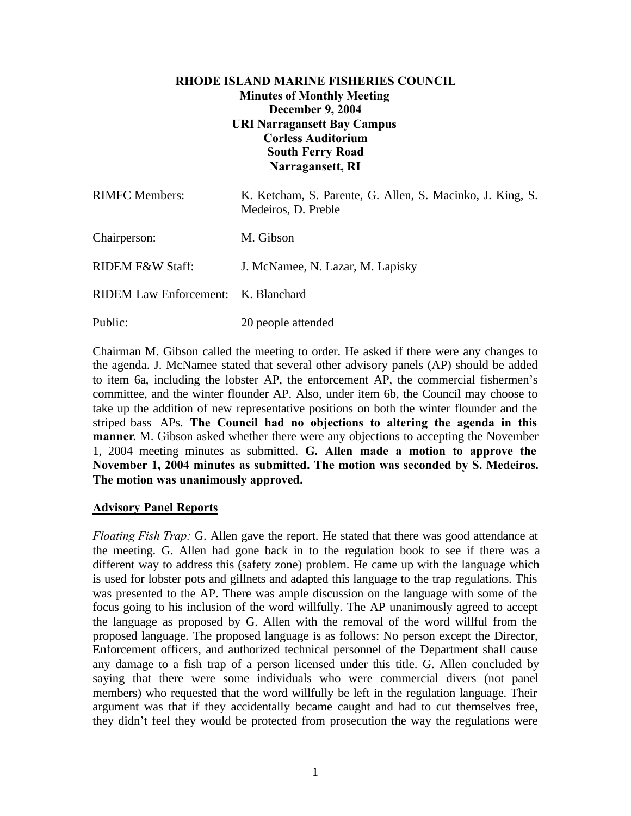# **RHODE ISLAND MARINE FISHERIES COUNCIL Minutes of Monthly Meeting December 9, 2004 URI Narragansett Bay Campus Corless Auditorium South Ferry Road Narragansett, RI**

| <b>RIMFC</b> Members:               | K. Ketcham, S. Parente, G. Allen, S. Macinko, J. King, S.<br>Medeiros, D. Preble |
|-------------------------------------|----------------------------------------------------------------------------------|
| Chairperson:                        | M. Gibson                                                                        |
| <b>RIDEM F&amp;W Staff:</b>         | J. McNamee, N. Lazar, M. Lapisky                                                 |
| RIDEM Law Enforcement: K. Blanchard |                                                                                  |
| Public:                             | 20 people attended                                                               |

Chairman M. Gibson called the meeting to order. He asked if there were any changes to the agenda. J. McNamee stated that several other advisory panels (AP) should be added to item 6a, including the lobster AP, the enforcement AP, the commercial fishermen's committee, and the winter flounder AP. Also, under item 6b, the Council may choose to take up the addition of new representative positions on both the winter flounder and the striped bass APs. **The Council had no objections to altering the agenda in this manner**. M. Gibson asked whether there were any objections to accepting the November 1, 2004 meeting minutes as submitted. **G. Allen made a motion to approve the November 1, 2004 minutes as submitted. The motion was seconded by S. Medeiros. The motion was unanimously approved.**

#### **Advisory Panel Reports**

*Floating Fish Trap:* G. Allen gave the report. He stated that there was good attendance at the meeting. G. Allen had gone back in to the regulation book to see if there was a different way to address this (safety zone) problem. He came up with the language which is used for lobster pots and gillnets and adapted this language to the trap regulations. This was presented to the AP. There was ample discussion on the language with some of the focus going to his inclusion of the word willfully. The AP unanimously agreed to accept the language as proposed by G. Allen with the removal of the word willful from the proposed language. The proposed language is as follows: No person except the Director, Enforcement officers, and authorized technical personnel of the Department shall cause any damage to a fish trap of a person licensed under this title. G. Allen concluded by saying that there were some individuals who were commercial divers (not panel members) who requested that the word willfully be left in the regulation language. Their argument was that if they accidentally became caught and had to cut themselves free, they didn't feel they would be protected from prosecution the way the regulations were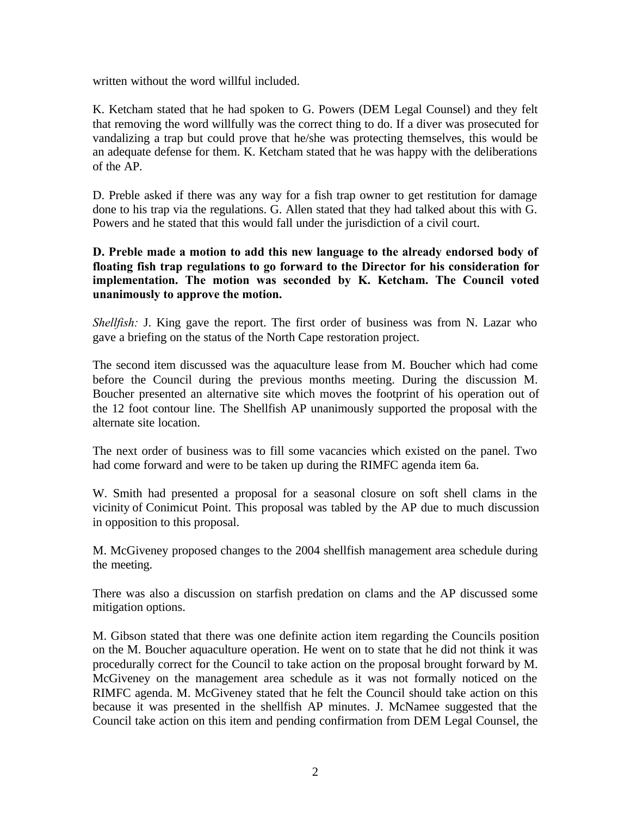written without the word willful included.

K. Ketcham stated that he had spoken to G. Powers (DEM Legal Counsel) and they felt that removing the word willfully was the correct thing to do. If a diver was prosecuted for vandalizing a trap but could prove that he/she was protecting themselves, this would be an adequate defense for them. K. Ketcham stated that he was happy with the deliberations of the AP.

D. Preble asked if there was any way for a fish trap owner to get restitution for damage done to his trap via the regulations. G. Allen stated that they had talked about this with G. Powers and he stated that this would fall under the jurisdiction of a civil court.

#### **D. Preble made a motion to add this new language to the already endorsed body of floating fish trap regulations to go forward to the Director for his consideration for implementation. The motion was seconded by K. Ketcham. The Council voted unanimously to approve the motion.**

*Shellfish:* J. King gave the report. The first order of business was from N. Lazar who gave a briefing on the status of the North Cape restoration project.

The second item discussed was the aquaculture lease from M. Boucher which had come before the Council during the previous months meeting. During the discussion M. Boucher presented an alternative site which moves the footprint of his operation out of the 12 foot contour line. The Shellfish AP unanimously supported the proposal with the alternate site location.

The next order of business was to fill some vacancies which existed on the panel. Two had come forward and were to be taken up during the RIMFC agenda item 6a.

W. Smith had presented a proposal for a seasonal closure on soft shell clams in the vicinity of Conimicut Point. This proposal was tabled by the AP due to much discussion in opposition to this proposal.

M. McGiveney proposed changes to the 2004 shellfish management area schedule during the meeting.

There was also a discussion on starfish predation on clams and the AP discussed some mitigation options.

M. Gibson stated that there was one definite action item regarding the Councils position on the M. Boucher aquaculture operation. He went on to state that he did not think it was procedurally correct for the Council to take action on the proposal brought forward by M. McGiveney on the management area schedule as it was not formally noticed on the RIMFC agenda. M. McGiveney stated that he felt the Council should take action on this because it was presented in the shellfish AP minutes. J. McNamee suggested that the Council take action on this item and pending confirmation from DEM Legal Counsel, the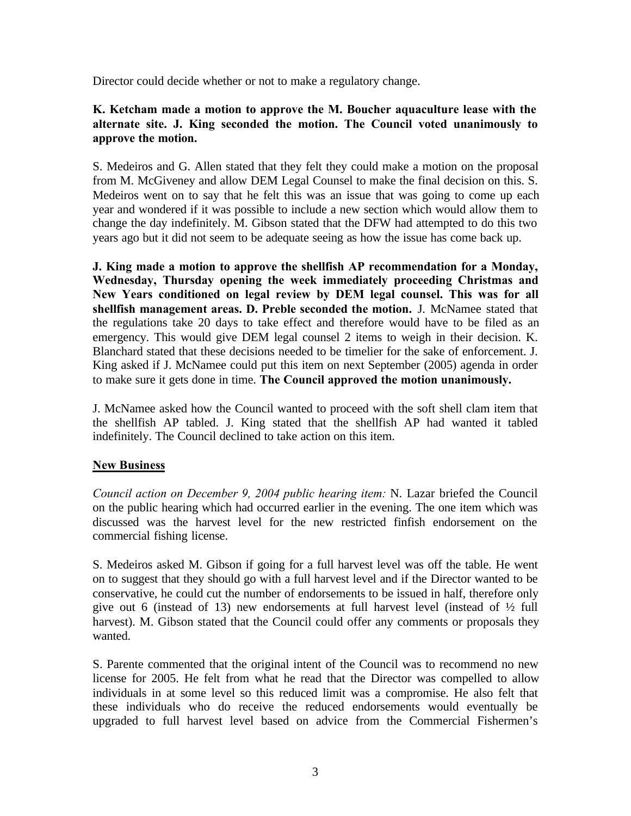Director could decide whether or not to make a regulatory change.

### **K. Ketcham made a motion to approve the M. Boucher aquaculture lease with the alternate site. J. King seconded the motion. The Council voted unanimously to approve the motion.**

S. Medeiros and G. Allen stated that they felt they could make a motion on the proposal from M. McGiveney and allow DEM Legal Counsel to make the final decision on this. S. Medeiros went on to say that he felt this was an issue that was going to come up each year and wondered if it was possible to include a new section which would allow them to change the day indefinitely. M. Gibson stated that the DFW had attempted to do this two years ago but it did not seem to be adequate seeing as how the issue has come back up.

**J. King made a motion to approve the shellfish AP recommendation for a Monday, Wednesday, Thursday opening the week immediately proceeding Christmas and New Years conditioned on legal review by DEM legal counsel. This was for all shellfish management areas. D. Preble seconded the motion.** J. McNamee stated that the regulations take 20 days to take effect and therefore would have to be filed as an emergency. This would give DEM legal counsel 2 items to weigh in their decision. K. Blanchard stated that these decisions needed to be timelier for the sake of enforcement. J. King asked if J. McNamee could put this item on next September (2005) agenda in order to make sure it gets done in time. **The Council approved the motion unanimously.**

J. McNamee asked how the Council wanted to proceed with the soft shell clam item that the shellfish AP tabled. J. King stated that the shellfish AP had wanted it tabled indefinitely. The Council declined to take action on this item.

# **New Business**

*Council action on December 9, 2004 public hearing item:* N. Lazar briefed the Council on the public hearing which had occurred earlier in the evening. The one item which was discussed was the harvest level for the new restricted finfish endorsement on the commercial fishing license.

S. Medeiros asked M. Gibson if going for a full harvest level was off the table. He went on to suggest that they should go with a full harvest level and if the Director wanted to be conservative, he could cut the number of endorsements to be issued in half, therefore only give out 6 (instead of 13) new endorsements at full harvest level (instead of  $\frac{1}{2}$  full harvest). M. Gibson stated that the Council could offer any comments or proposals they wanted.

S. Parente commented that the original intent of the Council was to recommend no new license for 2005. He felt from what he read that the Director was compelled to allow individuals in at some level so this reduced limit was a compromise. He also felt that these individuals who do receive the reduced endorsements would eventually be upgraded to full harvest level based on advice from the Commercial Fishermen's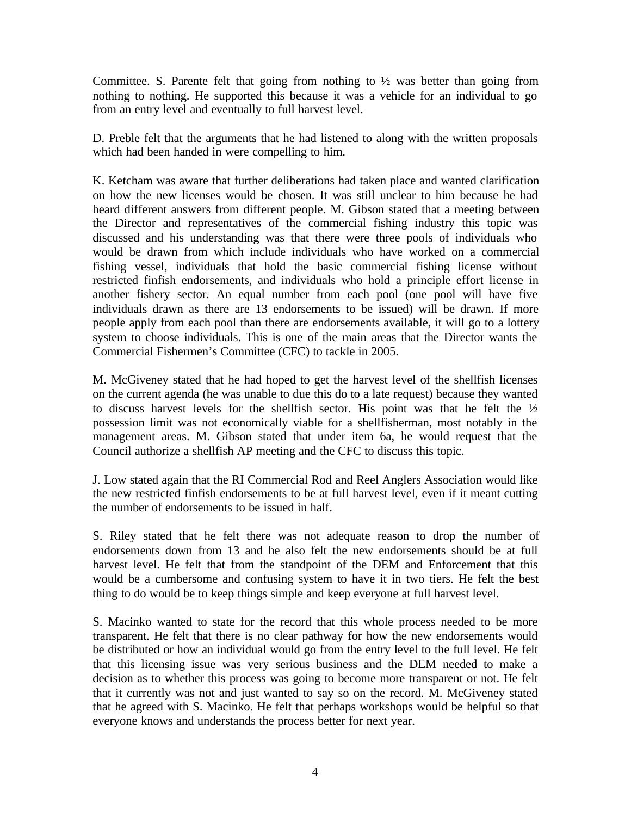Committee. S. Parente felt that going from nothing to  $\frac{1}{2}$  was better than going from nothing to nothing. He supported this because it was a vehicle for an individual to go from an entry level and eventually to full harvest level.

D. Preble felt that the arguments that he had listened to along with the written proposals which had been handed in were compelling to him.

K. Ketcham was aware that further deliberations had taken place and wanted clarification on how the new licenses would be chosen. It was still unclear to him because he had heard different answers from different people. M. Gibson stated that a meeting between the Director and representatives of the commercial fishing industry this topic was discussed and his understanding was that there were three pools of individuals who would be drawn from which include individuals who have worked on a commercial fishing vessel, individuals that hold the basic commercial fishing license without restricted finfish endorsements, and individuals who hold a principle effort license in another fishery sector. An equal number from each pool (one pool will have five individuals drawn as there are 13 endorsements to be issued) will be drawn. If more people apply from each pool than there are endorsements available, it will go to a lottery system to choose individuals. This is one of the main areas that the Director wants the Commercial Fishermen's Committee (CFC) to tackle in 2005.

M. McGiveney stated that he had hoped to get the harvest level of the shellfish licenses on the current agenda (he was unable to due this do to a late request) because they wanted to discuss harvest levels for the shellfish sector. His point was that he felt the  $\frac{1}{2}$ possession limit was not economically viable for a shellfisherman, most notably in the management areas. M. Gibson stated that under item 6a, he would request that the Council authorize a shellfish AP meeting and the CFC to discuss this topic.

J. Low stated again that the RI Commercial Rod and Reel Anglers Association would like the new restricted finfish endorsements to be at full harvest level, even if it meant cutting the number of endorsements to be issued in half.

S. Riley stated that he felt there was not adequate reason to drop the number of endorsements down from 13 and he also felt the new endorsements should be at full harvest level. He felt that from the standpoint of the DEM and Enforcement that this would be a cumbersome and confusing system to have it in two tiers. He felt the best thing to do would be to keep things simple and keep everyone at full harvest level.

S. Macinko wanted to state for the record that this whole process needed to be more transparent. He felt that there is no clear pathway for how the new endorsements would be distributed or how an individual would go from the entry level to the full level. He felt that this licensing issue was very serious business and the DEM needed to make a decision as to whether this process was going to become more transparent or not. He felt that it currently was not and just wanted to say so on the record. M. McGiveney stated that he agreed with S. Macinko. He felt that perhaps workshops would be helpful so that everyone knows and understands the process better for next year.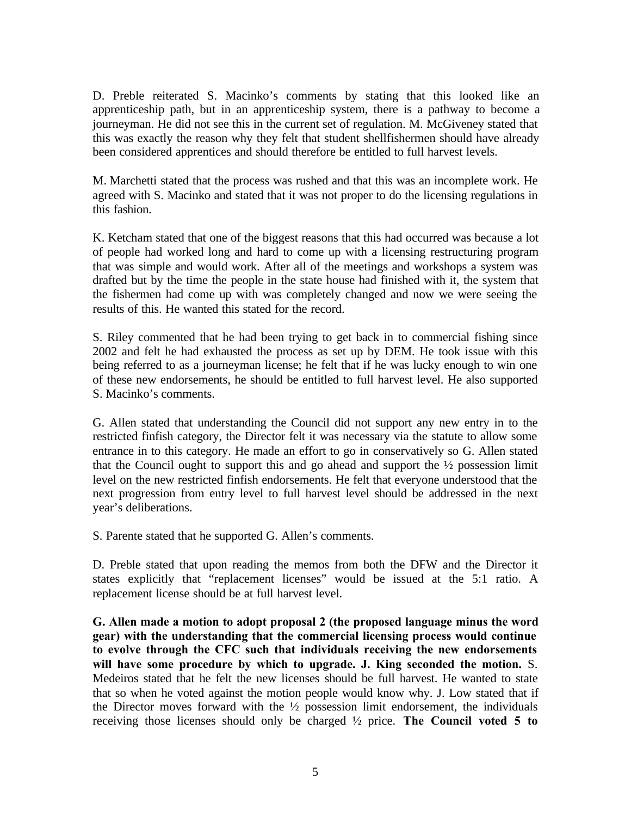D. Preble reiterated S. Macinko's comments by stating that this looked like an apprenticeship path, but in an apprenticeship system, there is a pathway to become a journeyman. He did not see this in the current set of regulation. M. McGiveney stated that this was exactly the reason why they felt that student shellfishermen should have already been considered apprentices and should therefore be entitled to full harvest levels.

M. Marchetti stated that the process was rushed and that this was an incomplete work. He agreed with S. Macinko and stated that it was not proper to do the licensing regulations in this fashion.

K. Ketcham stated that one of the biggest reasons that this had occurred was because a lot of people had worked long and hard to come up with a licensing restructuring program that was simple and would work. After all of the meetings and workshops a system was drafted but by the time the people in the state house had finished with it, the system that the fishermen had come up with was completely changed and now we were seeing the results of this. He wanted this stated for the record.

S. Riley commented that he had been trying to get back in to commercial fishing since 2002 and felt he had exhausted the process as set up by DEM. He took issue with this being referred to as a journeyman license; he felt that if he was lucky enough to win one of these new endorsements, he should be entitled to full harvest level. He also supported S. Macinko's comments.

G. Allen stated that understanding the Council did not support any new entry in to the restricted finfish category, the Director felt it was necessary via the statute to allow some entrance in to this category. He made an effort to go in conservatively so G. Allen stated that the Council ought to support this and go ahead and support the  $\frac{1}{2}$  possession limit level on the new restricted finfish endorsements. He felt that everyone understood that the next progression from entry level to full harvest level should be addressed in the next year's deliberations.

S. Parente stated that he supported G. Allen's comments.

D. Preble stated that upon reading the memos from both the DFW and the Director it states explicitly that "replacement licenses" would be issued at the 5:1 ratio. A replacement license should be at full harvest level.

**G. Allen made a motion to adopt proposal 2 (the proposed language minus the word gear) with the understanding that the commercial licensing process would continue to evolve through the CFC such that individuals receiving the new endorsements will have some procedure by which to upgrade. J. King seconded the motion.** S. Medeiros stated that he felt the new licenses should be full harvest. He wanted to state that so when he voted against the motion people would know why. J. Low stated that if the Director moves forward with the  $\frac{1}{2}$  possession limit endorsement, the individuals receiving those licenses should only be charged ½ price. **The Council voted 5 to**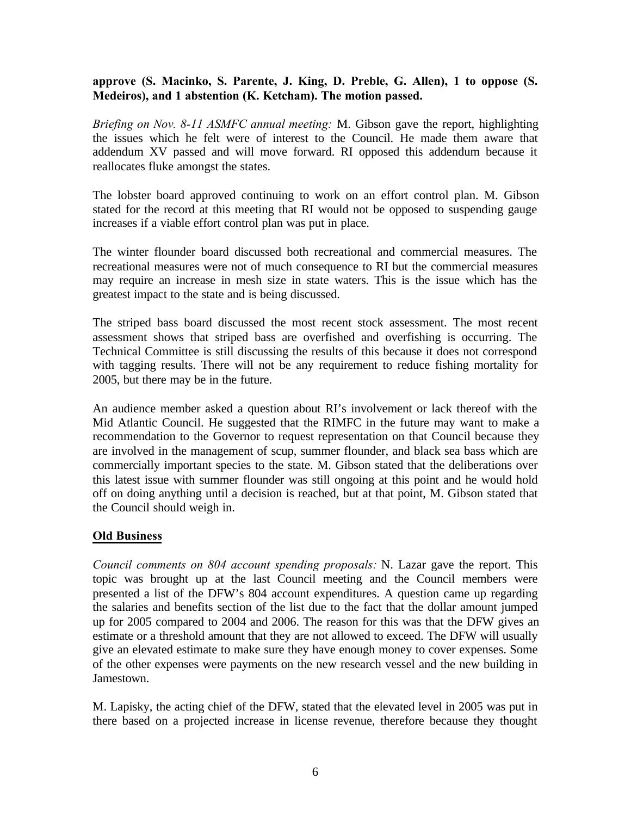### **approve (S. Macinko, S. Parente, J. King, D. Preble, G. Allen), 1 to oppose (S. Medeiros), and 1 abstention (K. Ketcham). The motion passed.**

*Briefing on Nov. 8-11 ASMFC annual meeting:* M. Gibson gave the report, highlighting the issues which he felt were of interest to the Council. He made them aware that addendum XV passed and will move forward. RI opposed this addendum because it reallocates fluke amongst the states.

The lobster board approved continuing to work on an effort control plan. M. Gibson stated for the record at this meeting that RI would not be opposed to suspending gauge increases if a viable effort control plan was put in place.

The winter flounder board discussed both recreational and commercial measures. The recreational measures were not of much consequence to RI but the commercial measures may require an increase in mesh size in state waters. This is the issue which has the greatest impact to the state and is being discussed.

The striped bass board discussed the most recent stock assessment. The most recent assessment shows that striped bass are overfished and overfishing is occurring. The Technical Committee is still discussing the results of this because it does not correspond with tagging results. There will not be any requirement to reduce fishing mortality for 2005, but there may be in the future.

An audience member asked a question about RI's involvement or lack thereof with the Mid Atlantic Council. He suggested that the RIMFC in the future may want to make a recommendation to the Governor to request representation on that Council because they are involved in the management of scup, summer flounder, and black sea bass which are commercially important species to the state. M. Gibson stated that the deliberations over this latest issue with summer flounder was still ongoing at this point and he would hold off on doing anything until a decision is reached, but at that point, M. Gibson stated that the Council should weigh in.

#### **Old Business**

*Council comments on 804 account spending proposals:* N. Lazar gave the report. This topic was brought up at the last Council meeting and the Council members were presented a list of the DFW's 804 account expenditures. A question came up regarding the salaries and benefits section of the list due to the fact that the dollar amount jumped up for 2005 compared to 2004 and 2006. The reason for this was that the DFW gives an estimate or a threshold amount that they are not allowed to exceed. The DFW will usually give an elevated estimate to make sure they have enough money to cover expenses. Some of the other expenses were payments on the new research vessel and the new building in Jamestown.

M. Lapisky, the acting chief of the DFW, stated that the elevated level in 2005 was put in there based on a projected increase in license revenue, therefore because they thought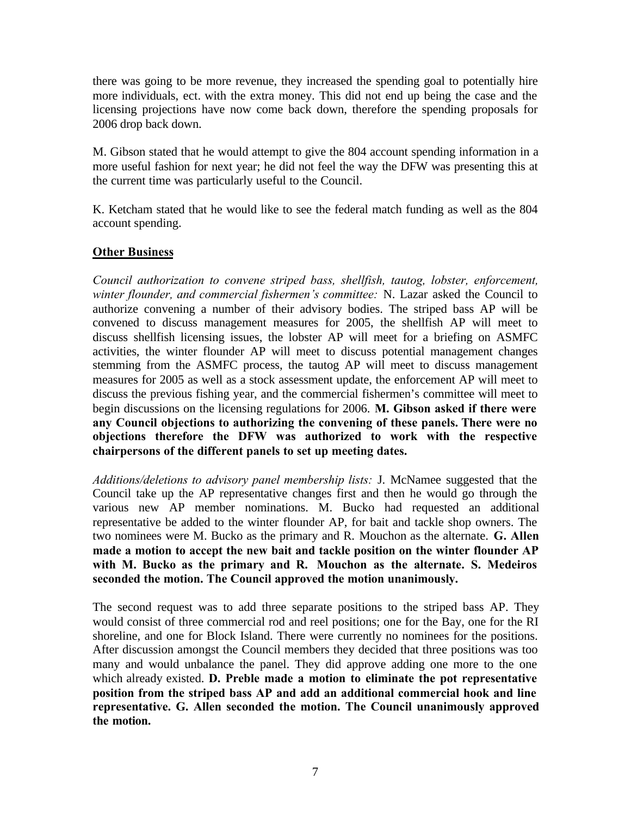there was going to be more revenue, they increased the spending goal to potentially hire more individuals, ect. with the extra money. This did not end up being the case and the licensing projections have now come back down, therefore the spending proposals for 2006 drop back down.

M. Gibson stated that he would attempt to give the 804 account spending information in a more useful fashion for next year; he did not feel the way the DFW was presenting this at the current time was particularly useful to the Council.

K. Ketcham stated that he would like to see the federal match funding as well as the 804 account spending.

# **Other Business**

*Council authorization to convene striped bass, shellfish, tautog, lobster, enforcement, winter flounder, and commercial fishermen's committee:* N. Lazar asked the Council to authorize convening a number of their advisory bodies. The striped bass AP will be convened to discuss management measures for 2005, the shellfish AP will meet to discuss shellfish licensing issues, the lobster AP will meet for a briefing on ASMFC activities, the winter flounder AP will meet to discuss potential management changes stemming from the ASMFC process, the tautog AP will meet to discuss management measures for 2005 as well as a stock assessment update, the enforcement AP will meet to discuss the previous fishing year, and the commercial fishermen's committee will meet to begin discussions on the licensing regulations for 2006. **M. Gibson asked if there were any Council objections to authorizing the convening of these panels. There were no objections therefore the DFW was authorized to work with the respective chairpersons of the different panels to set up meeting dates.**

*Additions/deletions to advisory panel membership lists:* J. McNamee suggested that the Council take up the AP representative changes first and then he would go through the various new AP member nominations. M. Bucko had requested an additional representative be added to the winter flounder AP, for bait and tackle shop owners. The two nominees were M. Bucko as the primary and R. Mouchon as the alternate. **G. Allen made a motion to accept the new bait and tackle position on the winter flounder AP with M. Bucko as the primary and R. Mouchon as the alternate. S. Medeiros seconded the motion. The Council approved the motion unanimously.**

The second request was to add three separate positions to the striped bass AP. They would consist of three commercial rod and reel positions; one for the Bay, one for the RI shoreline, and one for Block Island. There were currently no nominees for the positions. After discussion amongst the Council members they decided that three positions was too many and would unbalance the panel. They did approve adding one more to the one which already existed. **D. Preble made a motion to eliminate the pot representative position from the striped bass AP and add an additional commercial hook and line representative. G. Allen seconded the motion. The Council unanimously approved the motion.**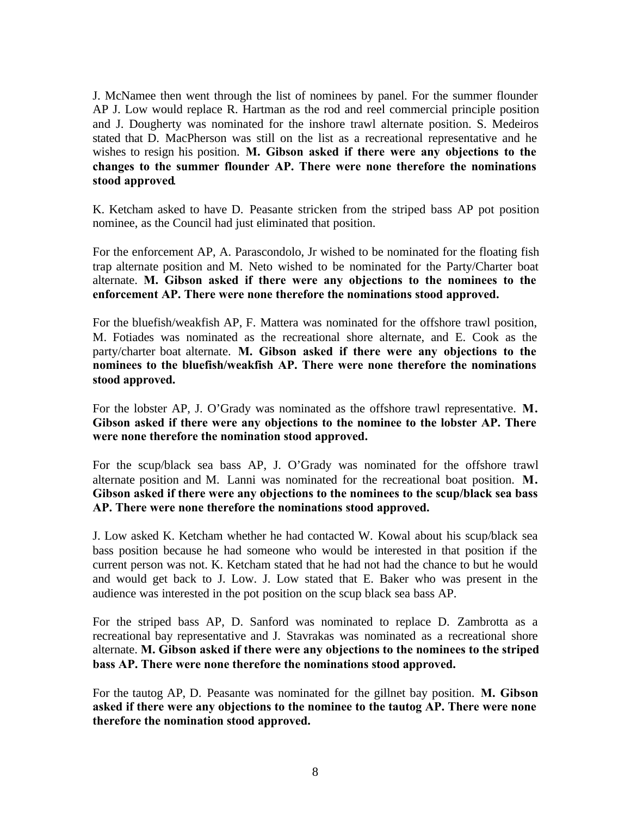J. McNamee then went through the list of nominees by panel. For the summer flounder AP J. Low would replace R. Hartman as the rod and reel commercial principle position and J. Dougherty was nominated for the inshore trawl alternate position. S. Medeiros stated that D. MacPherson was still on the list as a recreational representative and he wishes to resign his position. **M. Gibson asked if there were any objections to the changes to the summer flounder AP. There were none therefore the nominations stood approved**.

K. Ketcham asked to have D. Peasante stricken from the striped bass AP pot position nominee, as the Council had just eliminated that position.

For the enforcement AP, A. Parascondolo, Jr wished to be nominated for the floating fish trap alternate position and M. Neto wished to be nominated for the Party/Charter boat alternate. **M. Gibson asked if there were any objections to the nominees to the enforcement AP. There were none therefore the nominations stood approved.**

For the bluefish/weakfish AP, F. Mattera was nominated for the offshore trawl position, M. Fotiades was nominated as the recreational shore alternate, and E. Cook as the party/charter boat alternate. **M. Gibson asked if there were any objections to the nominees to the bluefish/weakfish AP. There were none therefore the nominations stood approved.**

For the lobster AP, J. O'Grady was nominated as the offshore trawl representative. **M. Gibson asked if there were any objections to the nominee to the lobster AP. There were none therefore the nomination stood approved.**

For the scup/black sea bass AP, J. O'Grady was nominated for the offshore trawl alternate position and M. Lanni was nominated for the recreational boat position. **M. Gibson asked if there were any objections to the nominees to the scup/black sea bass AP. There were none therefore the nominations stood approved.**

J. Low asked K. Ketcham whether he had contacted W. Kowal about his scup/black sea bass position because he had someone who would be interested in that position if the current person was not. K. Ketcham stated that he had not had the chance to but he would and would get back to J. Low. J. Low stated that E. Baker who was present in the audience was interested in the pot position on the scup black sea bass AP.

For the striped bass AP, D. Sanford was nominated to replace D. Zambrotta as a recreational bay representative and J. Stavrakas was nominated as a recreational shore alternate. **M. Gibson asked if there were any objections to the nominees to the striped bass AP. There were none therefore the nominations stood approved.**

For the tautog AP, D. Peasante was nominated for the gillnet bay position. **M. Gibson asked if there were any objections to the nominee to the tautog AP. There were none therefore the nomination stood approved.**